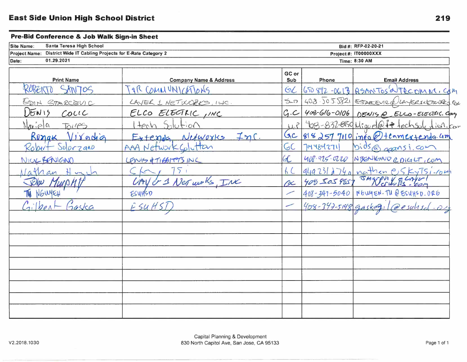## Pre-Bid Conference & Job Walk Sign-in Sheet

| Site Name:<br>Santa Teresa High School                                |                                   |                | Bid #: RFP-02-20-21  |                                           |  |  |
|-----------------------------------------------------------------------|-----------------------------------|----------------|----------------------|-------------------------------------------|--|--|
| Project Name: District Wide IT Cabling Projects for E-Rate Category 2 |                                   |                | Project#: IT00000XXX |                                           |  |  |
| 01.29.2021<br>Date:                                                   |                                   |                | Time: 8:30 AM        |                                           |  |  |
| <b>Print Name</b>                                                     | <b>Company Name &amp; Address</b> | GC or<br>Sub   | Phone                | <b>Email Address</b>                      |  |  |
| ROBERTO<br>SANTOS                                                     | TAR COMMUNICATIONS                | GL             |                      | 650892-0613 RSANTOSWTRCOMM, COM           |  |  |
| EDIN STARCEVIC                                                        | LAYER 1 HETWORKS, ILC.            | $5 - 7$        |                      | 408.505.5821 ESTAREVIRGUAYER1XETWORKS.COM |  |  |
| DEN15<br>$C_{\text{OUL}}$                                             | ELCO ELECTRIC, INC                | C <sub>1</sub> |                      | 408-616-0106 DENIS @ ELCO-ELECTRIC. Cary  |  |  |
| $Mx,e$ a<br>Toiles                                                    | tech Solution                     | 15.14          |                      | 408-832-059 Miguel@ff techsol, tich. com  |  |  |
| Ronak Virgolia                                                        | $N$ efwoxks $ImC$ .<br>Ertempla   | GC             |                      | $8182577110$ info () teamextends am       |  |  |
| Robert Solorzano                                                      | AAA Network Colutton              | GC             | 7144842711           | bids@gansi.com                            |  |  |
| NICK BENIGNO                                                          | LENIS & TICHTETS INC              | 4C             |                      | 408.925.0220 NBENIGNO @ DIGILT, COM       |  |  |
| Jathan                                                                |                                   | f C            |                      | 9492312740 nathen eskytsi-rout            |  |  |
|                                                                       | CAY or 1 Ner works, INC           | ac             |                      | 408 JOS 9857 JMWPM VELAVUI                |  |  |
| NGWYEH                                                                | ESUHSD                            | ╱              |                      | 408-347-5040 NOWEN. TU @ ESUHSD. 0RG      |  |  |
| ilber<br>Taska                                                        | ESUHST                            | ╱              | 408-347-5148 gaskag, |                                           |  |  |
|                                                                       |                                   |                |                      |                                           |  |  |
|                                                                       |                                   |                |                      |                                           |  |  |
|                                                                       |                                   |                |                      |                                           |  |  |
|                                                                       |                                   |                |                      |                                           |  |  |
|                                                                       |                                   |                |                      |                                           |  |  |
|                                                                       |                                   |                |                      |                                           |  |  |
|                                                                       |                                   |                |                      |                                           |  |  |
|                                                                       |                                   |                |                      |                                           |  |  |
|                                                                       |                                   |                |                      |                                           |  |  |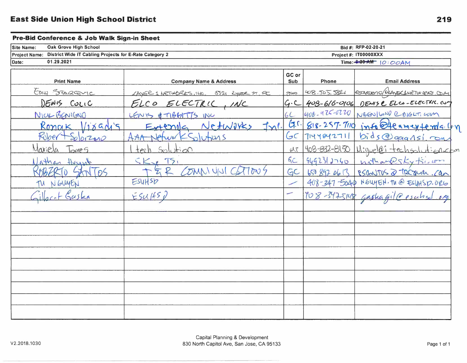## Pre-Bid Conference & Job Walk Sign-in Sheet

| Oak Grove High School<br>Site Name:                                             |                                          |              | Bid #: RFP-02-20-21   |                                        |  |
|---------------------------------------------------------------------------------|------------------------------------------|--------------|-----------------------|----------------------------------------|--|
| District Wide IT Cabling Projects for E-Rate Category 2<br><b>Project Name:</b> |                                          |              | Project #: IT00000XXX |                                        |  |
| 01.29.2021<br>Date:                                                             |                                          |              |                       | Time: 3:30 AM   0: 00 AM               |  |
| <b>Print Name</b>                                                               | <b>Company Name &amp; Address</b>        | GC or<br>Sub | Phone                 | <b>Email Address</b>                   |  |
| EDILY STAREVIC                                                                  | LAYER 1 NETWORKS, 140, 5521 Ryper ST. ST | 700          | 408.505.5821          | ESTARCEVIC/DLAYER 1+1ETWORKS, COLY     |  |
| DENIS CULIC                                                                     | ELCO ELECTRIC, INC                       | G.C          |                       | 403-616-0106 DEMSC ELCO-ELECTRIC. CUM  |  |
| NICK BENIGNO                                                                    | LENIS & TIBBITIS INC                     |              | 408-975-0720          | NGENILAND COIGLE, COM                  |  |
| Rongk $118GMS$                                                                  | Extends Netwirks In1.                    |              |                       | G.r. 818-257-7110 info@teamextendalon  |  |
| Ruber<br>500200                                                                 | $K$ Solutions<br>Wor                     | GC           | 7144842711            | bids @gagnsi.com                       |  |
| Mariela<br>Torre S                                                              | Solution<br>$+$ $\rho$                   | <b>U.T</b>   |                       | 408-832-8150 Wiquel@i-techsolutionscom |  |
| athan Hugh                                                                      | TS1                                      | FC           | 4492312740            | nothaneskytsivon                       |  |
| $N$ ( $p5$                                                                      | OMMUN<br>$\omega$<br>$\mathcal{T}$       | GC           | 6508970613            | BSGNITUS @ TREQUIER. Can               |  |
| NGUYEN                                                                          | ESUHSD                                   |              |                       | 408-347-5040 NEWEN. THE ESYHSD. ORG    |  |
| Gaska                                                                           | ESU(15)                                  | ╱            |                       | $908-347-5148$ gaskagile esc           |  |
|                                                                                 |                                          |              |                       |                                        |  |
|                                                                                 |                                          |              |                       |                                        |  |
|                                                                                 |                                          |              |                       |                                        |  |
|                                                                                 |                                          |              |                       |                                        |  |
|                                                                                 |                                          |              |                       |                                        |  |
|                                                                                 |                                          |              |                       |                                        |  |
|                                                                                 |                                          |              |                       |                                        |  |
|                                                                                 |                                          |              |                       |                                        |  |
|                                                                                 |                                          |              |                       |                                        |  |
|                                                                                 |                                          |              |                       |                                        |  |
|                                                                                 |                                          |              |                       |                                        |  |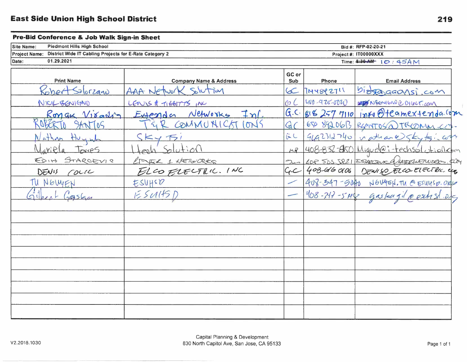## Pre-Bid Conference & Job Walk Sign-in Sheet

| <b>Site Name:</b>    | Piedmont Hills High School                                     | Bid #: RFP-02-20-21                 |
|----------------------|----------------------------------------------------------------|-------------------------------------|
| <b>Project Name:</b> | <b>District Wide IT Cabling Projects for E-Rate Category 2</b> | --------<br>Project #: $ITO0000XXX$ |
| Date:                | 01.29.2021                                                     | Time: 8:30-AM-<br>_________         |

| <b>Print Name</b>                   | <b>Company Name &amp; Address</b> | GC or<br>Sub   | Phone              | <b>Email Address</b>                                                                       |
|-------------------------------------|-----------------------------------|----------------|--------------------|--------------------------------------------------------------------------------------------|
| Robert Solorzanu                    | AAA Network Solution              | $\infty$       | 7144842711         | bioggagansi.com                                                                            |
| NICK BENIGNO                        | LENIS & TIGHTTS IN                | COC            | $100 - 975 - 0000$ | MET NSENIUNE DILILT. COM                                                                   |
| $R$ ongk $V$ $\delta$ a $\Lambda$ ) | Extender Networks Inf.            |                |                    | $G.C.$ $g162577110$ info $\theta$ teamextenda. Com                                         |
| ROFERTO SANTOS                      | TER COMMUNICST IONS               | GC             |                    | 650 8920613 REMATOS @TROMM.COM                                                             |
| Nathan Huyw                         | SKyF1                             | C              |                    | $9492712740$ nathane $554715.4049$                                                         |
| Mariela Townes                      | Solution<br>kosh                  |                |                    | MP 408-832-850 Miquel@i-techsolationcom                                                    |
| EDIH STARCEVIR                      | LITER 1 KETWORKS                  |                |                    |                                                                                            |
| DENIS COLIC                         | ELCO FLECTRIC. INC                | C <sub>t</sub> |                    | 2000 408 505 5821 ESARCEUX DIANTELLETWERS.COM<br>2.C 40B-616 0106 DENISO ELCO ELECTRIC.com |
| TU NOWYEN                           | ESUHSD                            |                |                    |                                                                                            |
| Silbert Gasha                       | E5U15D                            |                |                    | $ 408 - 217 - 5 + 198$ gas/2017/10 extrst 210                                              |
|                                     |                                   |                |                    |                                                                                            |
|                                     |                                   |                |                    |                                                                                            |
|                                     |                                   |                |                    |                                                                                            |
|                                     |                                   |                |                    |                                                                                            |
|                                     |                                   |                |                    |                                                                                            |
|                                     |                                   |                |                    |                                                                                            |
|                                     |                                   |                |                    |                                                                                            |
|                                     |                                   |                |                    |                                                                                            |
|                                     |                                   |                |                    |                                                                                            |
|                                     |                                   |                |                    |                                                                                            |